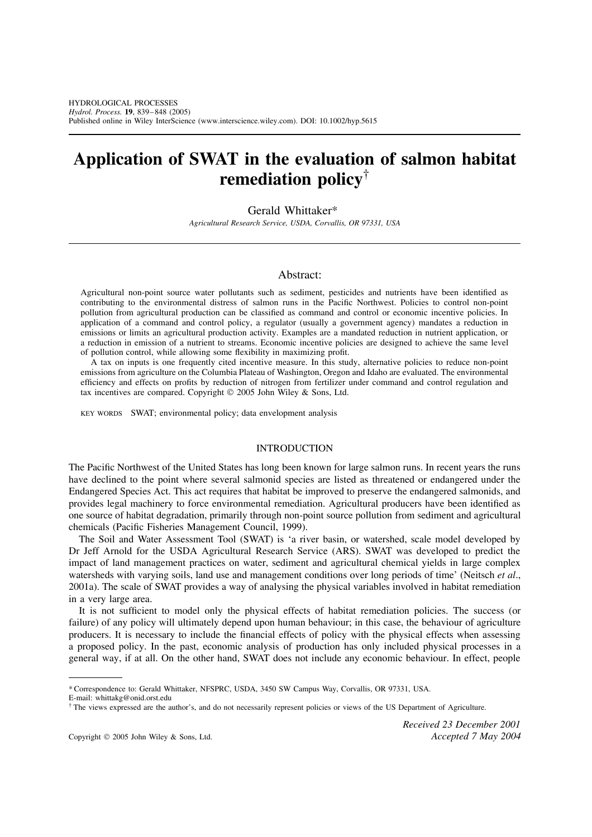# **Application of SWAT in the evaluation of salmon habitat remediation policy**†

Gerald Whittaker\*

*Agricultural Research Service, USDA, Corvallis, OR 97331, USA*

# Abstract:

Agricultural non-point source water pollutants such as sediment, pesticides and nutrients have been identified as contributing to the environmental distress of salmon runs in the Pacific Northwest. Policies to control non-point pollution from agricultural production can be classified as command and control or economic incentive policies. In application of a command and control policy, a regulator (usually a government agency) mandates a reduction in emissions or limits an agricultural production activity. Examples are a mandated reduction in nutrient application, or a reduction in emission of a nutrient to streams. Economic incentive policies are designed to achieve the same level of pollution control, while allowing some flexibility in maximizing profit.

A tax on inputs is one frequently cited incentive measure. In this study, alternative policies to reduce non-point emissions from agriculture on the Columbia Plateau of Washington, Oregon and Idaho are evaluated. The environmental efficiency and effects on profits by reduction of nitrogen from fertilizer under command and control regulation and tax incentives are compared. Copyright  $© 2005$  John Wiley & Sons, Ltd.

KEY WORDS SWAT; environmental policy; data envelopment analysis

# INTRODUCTION

The Pacific Northwest of the United States has long been known for large salmon runs. In recent years the runs have declined to the point where several salmonid species are listed as threatened or endangered under the Endangered Species Act. This act requires that habitat be improved to preserve the endangered salmonids, and provides legal machinery to force environmental remediation. Agricultural producers have been identified as one source of habitat degradation, primarily through non-point source pollution from sediment and agricultural chemicals (Pacific Fisheries Management Council, 1999).

The Soil and Water Assessment Tool (SWAT) is 'a river basin, or watershed, scale model developed by Dr Jeff Arnold for the USDA Agricultural Research Service (ARS). SWAT was developed to predict the impact of land management practices on water, sediment and agricultural chemical yields in large complex watersheds with varying soils, land use and management conditions over long periods of time' (Neitsch *et al*., 2001a). The scale of SWAT provides a way of analysing the physical variables involved in habitat remediation in a very large area.

It is not sufficient to model only the physical effects of habitat remediation policies. The success (or failure) of any policy will ultimately depend upon human behaviour; in this case, the behaviour of agriculture producers. It is necessary to include the financial effects of policy with the physical effects when assessing a proposed policy. In the past, economic analysis of production has only included physical processes in a general way, if at all. On the other hand, SWAT does not include any economic behaviour. In effect, people

E-mail: whittakg@onid.orst.edu

*Received 23 December 2001* Copyright 2005 John Wiley & Sons, Ltd. *Accepted 7 May 2004*

<sup>\*</sup> Correspondence to: Gerald Whittaker, NFSPRC, USDA, 3450 SW Campus Way, Corvallis, OR 97331, USA.

<sup>†</sup> The views expressed are the author's, and do not necessarily represent policies or views of the US Department of Agriculture.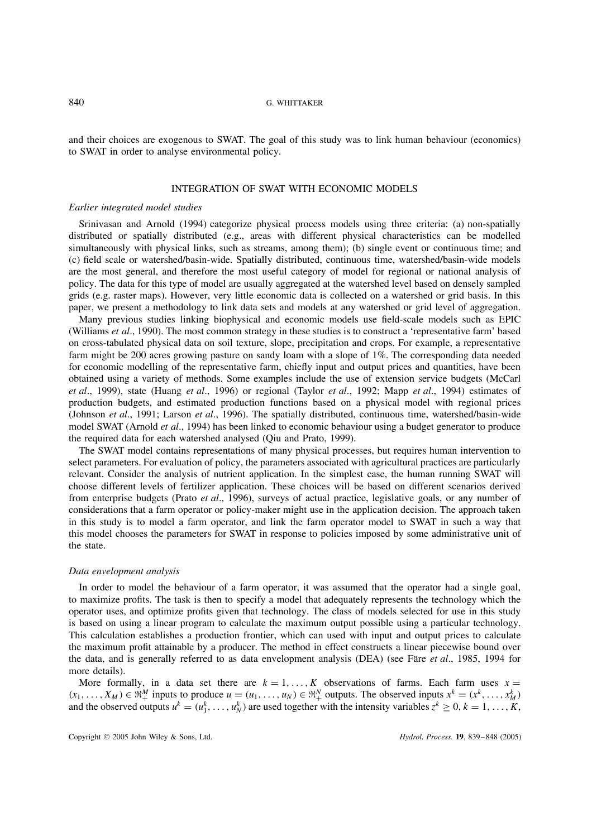and their choices are exogenous to SWAT. The goal of this study was to link human behaviour (economics) to SWAT in order to analyse environmental policy.

## INTEGRATION OF SWAT WITH ECONOMIC MODELS

#### *Earlier integrated model studies*

Srinivasan and Arnold (1994) categorize physical process models using three criteria: (a) non-spatially distributed or spatially distributed (e.g., areas with different physical characteristics can be modelled simultaneously with physical links, such as streams, among them); (b) single event or continuous time; and (c) field scale or watershed/basin-wide. Spatially distributed, continuous time, watershed/basin-wide models are the most general, and therefore the most useful category of model for regional or national analysis of policy. The data for this type of model are usually aggregated at the watershed level based on densely sampled grids (e.g. raster maps). However, very little economic data is collected on a watershed or grid basis. In this paper, we present a methodology to link data sets and models at any watershed or grid level of aggregation.

Many previous studies linking biophysical and economic models use field-scale models such as EPIC (Williams *et al*., 1990). The most common strategy in these studies is to construct a 'representative farm' based on cross-tabulated physical data on soil texture, slope, precipitation and crops. For example, a representative farm might be 200 acres growing pasture on sandy loam with a slope of 1%. The corresponding data needed for economic modelling of the representative farm, chiefly input and output prices and quantities, have been obtained using a variety of methods. Some examples include the use of extension service budgets (McCarl *et al*., 1999), state (Huang *et al*., 1996) or regional (Taylor *et al*., 1992; Mapp *et al*., 1994) estimates of production budgets, and estimated production functions based on a physical model with regional prices (Johnson *et al*., 1991; Larson *et al*., 1996). The spatially distributed, continuous time, watershed/basin-wide model SWAT (Arnold *et al*., 1994) has been linked to economic behaviour using a budget generator to produce the required data for each watershed analysed (Qiu and Prato, 1999).

The SWAT model contains representations of many physical processes, but requires human intervention to select parameters. For evaluation of policy, the parameters associated with agricultural practices are particularly relevant. Consider the analysis of nutrient application. In the simplest case, the human running SWAT will choose different levels of fertilizer application. These choices will be based on different scenarios derived from enterprise budgets (Prato *et al*., 1996), surveys of actual practice, legislative goals, or any number of considerations that a farm operator or policy-maker might use in the application decision. The approach taken in this study is to model a farm operator, and link the farm operator model to SWAT in such a way that this model chooses the parameters for SWAT in response to policies imposed by some administrative unit of the state.

#### *Data envelopment analysis*

In order to model the behaviour of a farm operator, it was assumed that the operator had a single goal, to maximize profits. The task is then to specify a model that adequately represents the technology which the operator uses, and optimize profits given that technology. The class of models selected for use in this study is based on using a linear program to calculate the maximum output possible using a particular technology. This calculation establishes a production frontier, which can used with input and output prices to calculate the maximum profit attainable by a producer. The method in effect constructs a linear piecewise bound over the data, and is generally referred to as data envelopment analysis (DEA) (see Färe *et al.*, 1985, 1994 for more details).

More formally, in a data set there are  $k = 1, \ldots, K$  observations of farms. Each farm uses  $x =$  $(x_1, \ldots, X_M) \in \mathbb{R}_+^M$  inputs to produce  $u = (u_1, \ldots, u_N) \in \mathbb{R}_+^N$  outputs. The observed inputs  $x^k = (x^k, \ldots, x_M^k)$ and the observed outputs  $u^k = (u_1^k, \ldots, u_N^k)$  are used together with the intensity variables  $z^k \geq 0, k = 1, \ldots, K$ ,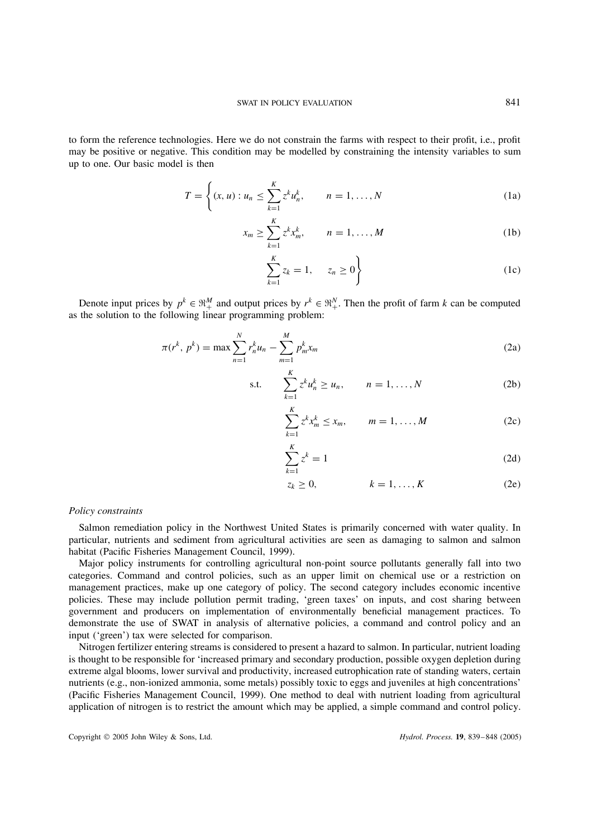to form the reference technologies. Here we do not constrain the farms with respect to their profit, i.e., profit may be positive or negative. This condition may be modelled by constraining the intensity variables to sum up to one. Our basic model is then

$$
T = \begin{cases} (x, u) : u_n \le \sum_{k=1}^{K} z^k u_n^k, & n = 1, ..., N \end{cases}
$$
 (1a)

$$
x_m \ge \sum_{k=1}^K z^k x_m^k, \qquad n = 1, \dots, M
$$
 (1b)

$$
\sum_{k=1}^{K} z_k = 1, \quad z_n \ge 0
$$
 (1c)

Denote input prices by  $p^k \in \mathbb{R}_+^M$  and output prices by  $r^k \in \mathbb{R}_+^N$ . Then the profit of farm k can be computed as the solution to the following linear programming problem:

$$
\pi(r^k, p^k) = \max \sum_{n=1}^N r_n^k u_n - \sum_{m=1}^M p_m^k x_m \tag{2a}
$$

s.t. 
$$
\sum_{k=1}^{K} z^{k} u_{n}^{k} \geq u_{n}, \qquad n = 1, ..., N
$$
 (2b)

$$
\sum_{k=1}^{K} z^k x_m^k \le x_m, \qquad m = 1, \dots, M
$$
 (2c)

$$
\sum_{k=1}^{K} z^k = 1
$$
\n(2d)

$$
z_k \geq 0, \qquad k = 1, \dots, K \qquad (2e)
$$

## *Policy constraints*

Salmon remediation policy in the Northwest United States is primarily concerned with water quality. In particular, nutrients and sediment from agricultural activities are seen as damaging to salmon and salmon habitat (Pacific Fisheries Management Council, 1999).

Major policy instruments for controlling agricultural non-point source pollutants generally fall into two categories. Command and control policies, such as an upper limit on chemical use or a restriction on management practices, make up one category of policy. The second category includes economic incentive policies. These may include pollution permit trading, 'green taxes' on inputs, and cost sharing between government and producers on implementation of environmentally beneficial management practices. To demonstrate the use of SWAT in analysis of alternative policies, a command and control policy and an input ('green') tax were selected for comparison.

Nitrogen fertilizer entering streams is considered to present a hazard to salmon. In particular, nutrient loading is thought to be responsible for 'increased primary and secondary production, possible oxygen depletion during extreme algal blooms, lower survival and productivity, increased eutrophication rate of standing waters, certain nutrients (e.g., non-ionized ammonia, some metals) possibly toxic to eggs and juveniles at high concentrations' (Pacific Fisheries Management Council, 1999). One method to deal with nutrient loading from agricultural application of nitrogen is to restrict the amount which may be applied, a simple command and control policy.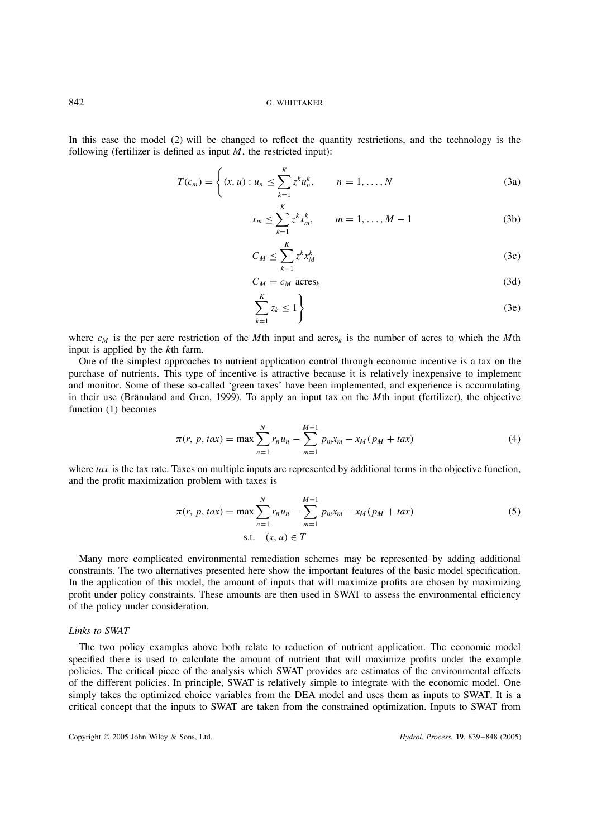842 G. WHITTAKER

In this case the model (2) will be changed to reflect the quantity restrictions, and the technology is the following (fertilizer is defined as input  $M$ , the restricted input):

$$
T(c_m) = \begin{cases} (x, u) : u_n \le \sum_{k=1}^K z^k u_n^k, & n = 1, ..., N \end{cases}
$$
 (3a)

$$
x_m \le \sum_{k=1}^K z^k x_m^k, \qquad m = 1, \dots, M-1
$$
 (3b)

$$
C_M \le \sum_{k=1}^K z^k x_M^k \tag{3c}
$$

$$
C_M = c_M \, \arccos_k \tag{3d}
$$

$$
\left\{\sum_{k=1}^{K} z_k \le 1\right\} \tag{3e}
$$

where  $c_M$  is the per acre restriction of the Mth input and acres<sub>k</sub> is the number of acres to which the Mth input is applied by the kth farm.

One of the simplest approaches to nutrient application control through economic incentive is a tax on the purchase of nutrients. This type of incentive is attractive because it is relatively inexpensive to implement and monitor. Some of these so-called 'green taxes' have been implemented, and experience is accumulating in their use (Brännland and Gren, 1999). To apply an input tax on the  $M$ th input (fertilizer), the objective function (1) becomes

$$
\pi(r, p, tax) = \max \sum_{n=1}^{N} r_n u_n - \sum_{m=1}^{M-1} p_m x_m - x_M (p_M + tax)
$$
\n(4)

where *tax* is the tax rate. Taxes on multiple inputs are represented by additional terms in the objective function, and the profit maximization problem with taxes is

$$
\pi(r, p, tax) = \max \sum_{n=1}^{N} r_n u_n - \sum_{m=1}^{M-1} p_m x_m - x_M (p_M + tax)
$$
(5)  
s.t.  $(x, u) \in T$ 

Many more complicated environmental remediation schemes may be represented by adding additional constraints. The two alternatives presented here show the important features of the basic model specification. In the application of this model, the amount of inputs that will maximize profits are chosen by maximizing profit under policy constraints. These amounts are then used in SWAT to assess the environmental efficiency of the policy under consideration.

# *Links to SWAT*

The two policy examples above both relate to reduction of nutrient application. The economic model specified there is used to calculate the amount of nutrient that will maximize profits under the example policies. The critical piece of the analysis which SWAT provides are estimates of the environmental effects of the different policies. In principle, SWAT is relatively simple to integrate with the economic model. One simply takes the optimized choice variables from the DEA model and uses them as inputs to SWAT. It is a critical concept that the inputs to SWAT are taken from the constrained optimization. Inputs to SWAT from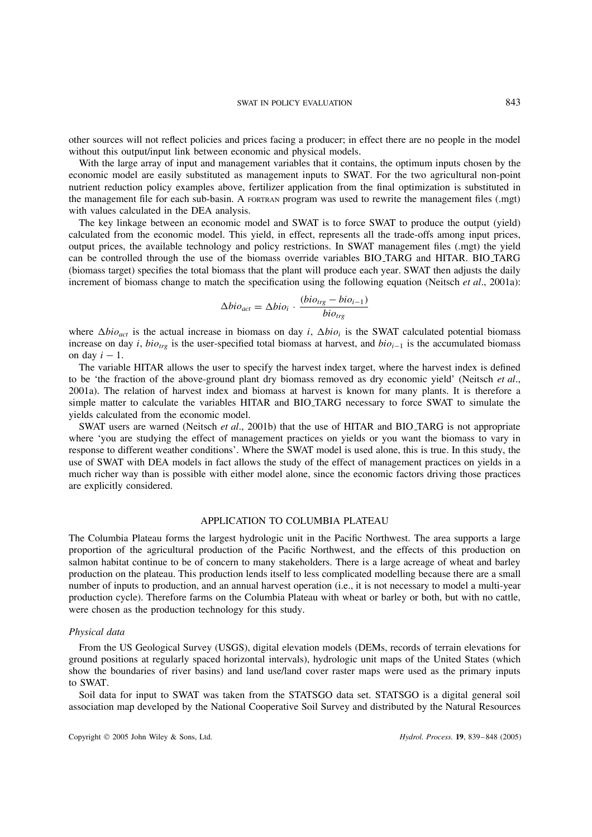other sources will not reflect policies and prices facing a producer; in effect there are no people in the model without this output/input link between economic and physical models.

With the large array of input and management variables that it contains, the optimum inputs chosen by the economic model are easily substituted as management inputs to SWAT. For the two agricultural non-point nutrient reduction policy examples above, fertilizer application from the final optimization is substituted in the management file for each sub-basin. A FORTRAN program was used to rewrite the management files (.mgt) with values calculated in the DEA analysis.

The key linkage between an economic model and SWAT is to force SWAT to produce the output (yield) calculated from the economic model. This yield, in effect, represents all the trade-offs among input prices, output prices, the available technology and policy restrictions. In SWAT management files (.mgt) the yield can be controlled through the use of the biomass override variables BIO TARG and HITAR. BIO TARG (biomass target) specifies the total biomass that the plant will produce each year. SWAT then adjusts the daily increment of biomass change to match the specification using the following equation (Neitsch *et al*., 2001a):

$$
\Delta bio_{act} = \Delta bio_i \cdot \frac{(bio_{trg} - bio_{i-1})}{bio_{trg}}
$$

where  $\Delta bio_{act}$  is the actual increase in biomass on day i,  $\Delta bio_i$  is the SWAT calculated potential biomass increase on day *i*,  $bio_{trg}$  is the user-specified total biomass at harvest, and  $bio_{i-1}$  is the accumulated biomass on day  $i - 1$ .

The variable HITAR allows the user to specify the harvest index target, where the harvest index is defined to be 'the fraction of the above-ground plant dry biomass removed as dry economic yield' (Neitsch *et al*., 2001a). The relation of harvest index and biomass at harvest is known for many plants. It is therefore a simple matter to calculate the variables HITAR and BIO TARG necessary to force SWAT to simulate the yields calculated from the economic model.

SWAT users are warned (Neitsch *et al*., 2001b) that the use of HITAR and BIO TARG is not appropriate where 'you are studying the effect of management practices on yields or you want the biomass to vary in response to different weather conditions'. Where the SWAT model is used alone, this is true. In this study, the use of SWAT with DEA models in fact allows the study of the effect of management practices on yields in a much richer way than is possible with either model alone, since the economic factors driving those practices are explicitly considered.

# APPLICATION TO COLUMBIA PLATEAU

The Columbia Plateau forms the largest hydrologic unit in the Pacific Northwest. The area supports a large proportion of the agricultural production of the Pacific Northwest, and the effects of this production on salmon habitat continue to be of concern to many stakeholders. There is a large acreage of wheat and barley production on the plateau. This production lends itself to less complicated modelling because there are a small number of inputs to production, and an annual harvest operation (i.e., it is not necessary to model a multi-year production cycle). Therefore farms on the Columbia Plateau with wheat or barley or both, but with no cattle, were chosen as the production technology for this study.

## *Physical data*

From the US Geological Survey (USGS), digital elevation models (DEMs, records of terrain elevations for ground positions at regularly spaced horizontal intervals), hydrologic unit maps of the United States (which show the boundaries of river basins) and land use/land cover raster maps were used as the primary inputs to SWAT.

Soil data for input to SWAT was taken from the STATSGO data set. STATSGO is a digital general soil association map developed by the National Cooperative Soil Survey and distributed by the Natural Resources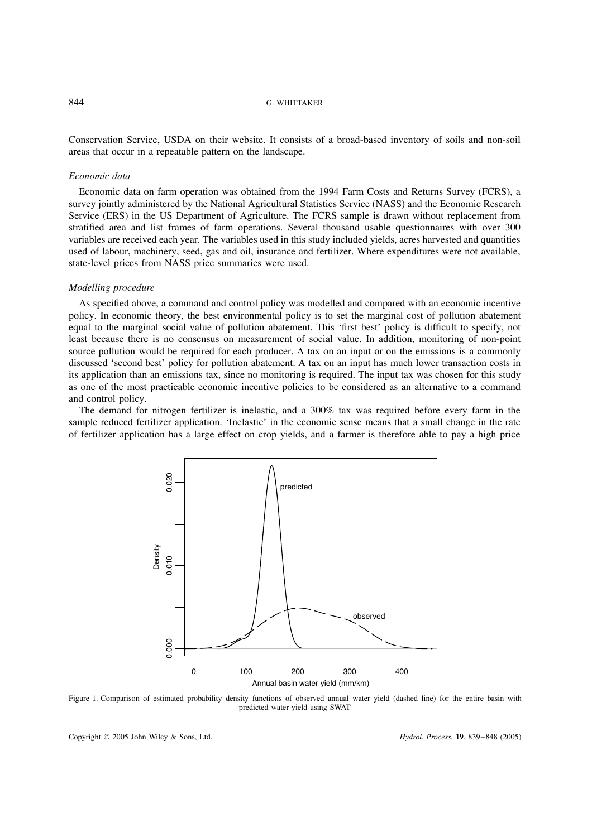## 844 G. WHITTAKER

Conservation Service, USDA on their website. It consists of a broad-based inventory of soils and non-soil areas that occur in a repeatable pattern on the landscape.

## *Economic data*

Economic data on farm operation was obtained from the 1994 Farm Costs and Returns Survey (FCRS), a survey jointly administered by the National Agricultural Statistics Service (NASS) and the Economic Research Service (ERS) in the US Department of Agriculture. The FCRS sample is drawn without replacement from stratified area and list frames of farm operations. Several thousand usable questionnaires with over 300 variables are received each year. The variables used in this study included yields, acres harvested and quantities used of labour, machinery, seed, gas and oil, insurance and fertilizer. Where expenditures were not available, state-level prices from NASS price summaries were used.

# *Modelling procedure*

As specified above, a command and control policy was modelled and compared with an economic incentive policy. In economic theory, the best environmental policy is to set the marginal cost of pollution abatement equal to the marginal social value of pollution abatement. This 'first best' policy is difficult to specify, not least because there is no consensus on measurement of social value. In addition, monitoring of non-point source pollution would be required for each producer. A tax on an input or on the emissions is a commonly discussed 'second best' policy for pollution abatement. A tax on an input has much lower transaction costs in its application than an emissions tax, since no monitoring is required. The input tax was chosen for this study as one of the most practicable economic incentive policies to be considered as an alternative to a command and control policy.

The demand for nitrogen fertilizer is inelastic, and a 300% tax was required before every farm in the sample reduced fertilizer application. 'Inelastic' in the economic sense means that a small change in the rate of fertilizer application has a large effect on crop yields, and a farmer is therefore able to pay a high price



Figure 1. Comparison of estimated probability density functions of observed annual water yield (dashed line) for the entire basin with predicted water yield using SWAT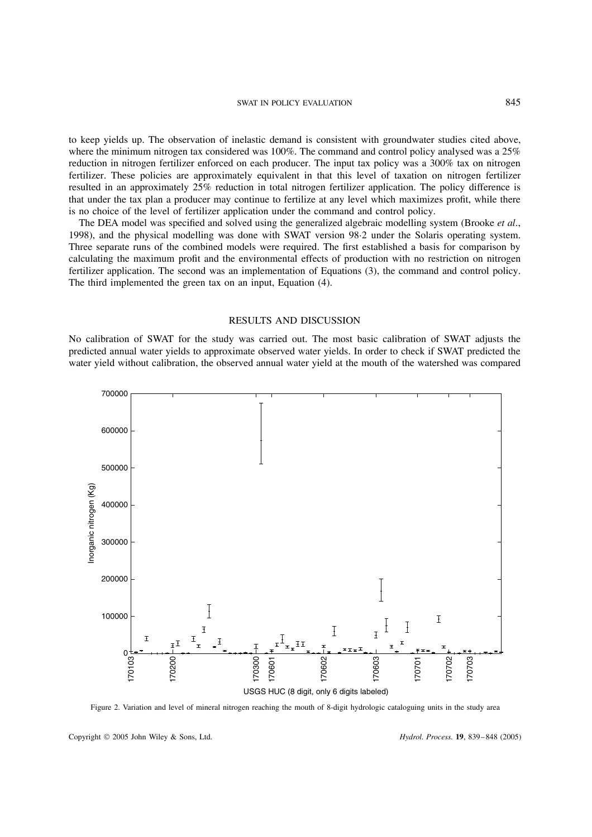### SWAT IN POLICY EVALUATION 845

to keep yields up. The observation of inelastic demand is consistent with groundwater studies cited above, where the minimum nitrogen tax considered was 100%. The command and control policy analysed was a 25% reduction in nitrogen fertilizer enforced on each producer. The input tax policy was a 300% tax on nitrogen fertilizer. These policies are approximately equivalent in that this level of taxation on nitrogen fertilizer resulted in an approximately 25% reduction in total nitrogen fertilizer application. The policy difference is that under the tax plan a producer may continue to fertilize at any level which maximizes profit, while there is no choice of the level of fertilizer application under the command and control policy.

The DEA model was specified and solved using the generalized algebraic modelling system (Brooke *et al*., 1998), and the physical modelling was done with SWAT version 98 $\cdot$ 2 under the Solaris operating system. Three separate runs of the combined models were required. The first established a basis for comparison by calculating the maximum profit and the environmental effects of production with no restriction on nitrogen fertilizer application. The second was an implementation of Equations (3), the command and control policy. The third implemented the green tax on an input, Equation (4).

### RESULTS AND DISCUSSION

No calibration of SWAT for the study was carried out. The most basic calibration of SWAT adjusts the predicted annual water yields to approximate observed water yields. In order to check if SWAT predicted the water yield without calibration, the observed annual water yield at the mouth of the watershed was compared



Figure 2. Variation and level of mineral nitrogen reaching the mouth of 8-digit hydrologic cataloguing units in the study area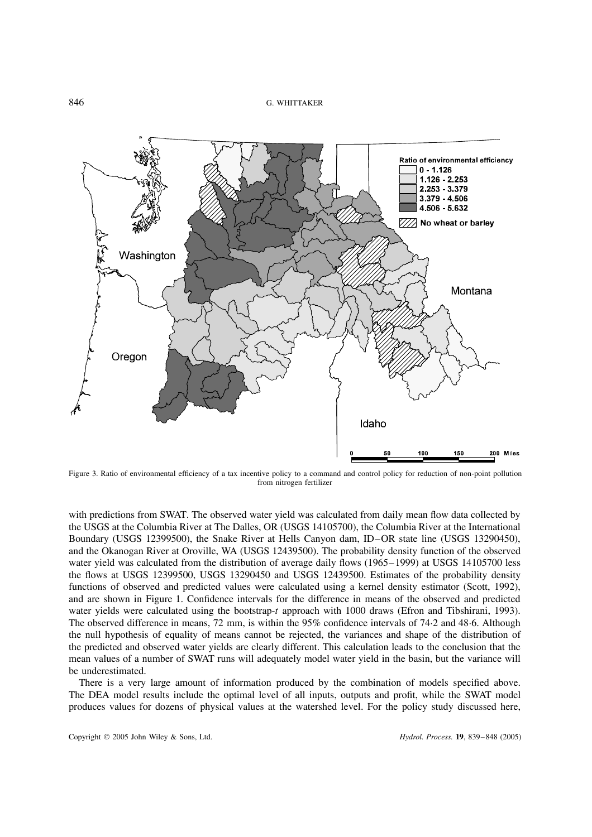

Figure 3. Ratio of environmental efficiency of a tax incentive policy to a command and control policy for reduction of non-point pollution from nitrogen fertilizer

with predictions from SWAT. The observed water yield was calculated from daily mean flow data collected by the USGS at the Columbia River at The Dalles, OR (USGS 14105700), the Columbia River at the International Boundary (USGS 12399500), the Snake River at Hells Canyon dam, ID–OR state line (USGS 13290450), and the Okanogan River at Oroville, WA (USGS 12439500). The probability density function of the observed water yield was calculated from the distribution of average daily flows (1965–1999) at USGS 14105700 less the flows at USGS 12399500, USGS 13290450 and USGS 12439500. Estimates of the probability density functions of observed and predicted values were calculated using a kernel density estimator (Scott, 1992), and are shown in Figure 1. Confidence intervals for the difference in means of the observed and predicted water yields were calculated using the bootstrap-t approach with 1000 draws (Efron and Tibshirani, 1993). The observed difference in means, 72 mm, is within the 95% confidence intervals of 74 $\cdot$ 2 and 48 $\cdot$ 6. Although the null hypothesis of equality of means cannot be rejected, the variances and shape of the distribution of the predicted and observed water yields are clearly different. This calculation leads to the conclusion that the mean values of a number of SWAT runs will adequately model water yield in the basin, but the variance will be underestimated.

There is a very large amount of information produced by the combination of models specified above. The DEA model results include the optimal level of all inputs, outputs and profit, while the SWAT model produces values for dozens of physical values at the watershed level. For the policy study discussed here,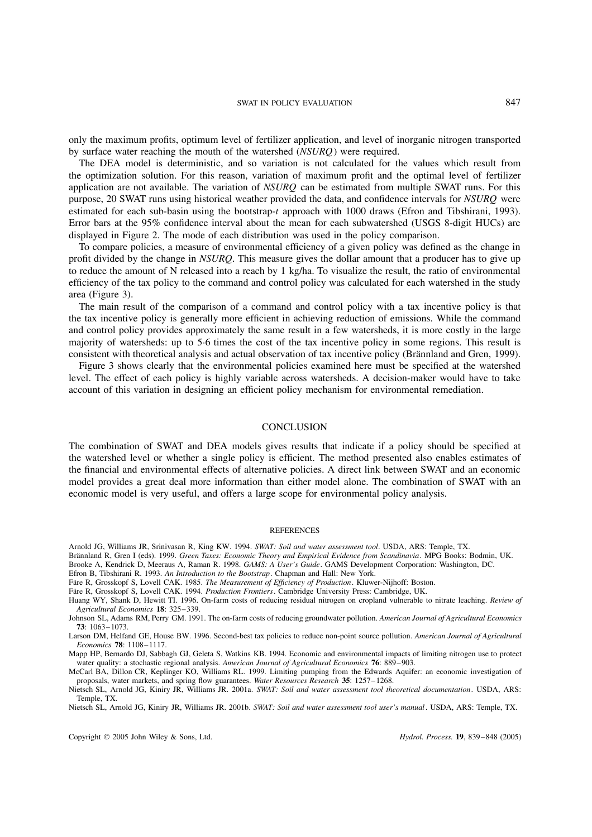only the maximum profits, optimum level of fertilizer application, and level of inorganic nitrogen transported by surface water reaching the mouth of the watershed (*NSURQ*) were required.

The DEA model is deterministic, and so variation is not calculated for the values which result from the optimization solution. For this reason, variation of maximum profit and the optimal level of fertilizer application are not available. The variation of *NSURQ* can be estimated from multiple SWAT runs. For this purpose, 20 SWAT runs using historical weather provided the data, and confidence intervals for *NSURQ* were estimated for each sub-basin using the bootstrap-t approach with 1000 draws (Efron and Tibshirani, 1993). Error bars at the 95% confidence interval about the mean for each subwatershed (USGS 8-digit HUCs) are displayed in Figure 2. The mode of each distribution was used in the policy comparison.

To compare policies, a measure of environmental efficiency of a given policy was defined as the change in profit divided by the change in *NSURQ*. This measure gives the dollar amount that a producer has to give up to reduce the amount of N released into a reach by 1 kg/ha. To visualize the result, the ratio of environmental efficiency of the tax policy to the command and control policy was calculated for each watershed in the study area (Figure 3).

The main result of the comparison of a command and control policy with a tax incentive policy is that the tax incentive policy is generally more efficient in achieving reduction of emissions. While the command and control policy provides approximately the same result in a few watersheds, it is more costly in the large majority of watersheds: up to 5Ð6 times the cost of the tax incentive policy in some regions. This result is consistent with theoretical analysis and actual observation of tax incentive policy (Brännland and Gren, 1999).

Figure 3 shows clearly that the environmental policies examined here must be specified at the watershed level. The effect of each policy is highly variable across watersheds. A decision-maker would have to take account of this variation in designing an efficient policy mechanism for environmental remediation.

### **CONCLUSION**

The combination of SWAT and DEA models gives results that indicate if a policy should be specified at the watershed level or whether a single policy is efficient. The method presented also enables estimates of the financial and environmental effects of alternative policies. A direct link between SWAT and an economic model provides a great deal more information than either model alone. The combination of SWAT with an economic model is very useful, and offers a large scope for environmental policy analysis.

#### REFERENCES

Arnold JG, Williams JR, Srinivasan R, King KW. 1994. *SWAT: Soil and water assessment tool*. USDA, ARS: Temple, TX.

Brännland R, Gren I (eds). 1999. *Green Taxes: Economic Theory and Empirical Evidence from Scandinavia*. MPG Books: Bodmin, UK.

Brooke A, Kendrick D, Meeraus A, Raman R. 1998. *GAMS: A User's Guide*. GAMS Development Corporation: Washington, DC.

Efron B, Tibshirani R. 1993. *An Introduction to the Bootstrap*. Chapman and Hall: New York.

Fare R, Grosskopf S, Lovell CAK. 1985. The Measurement of Efficiency of Production. Kluwer-Nijhoff: Boston.

Fare R, Grosskopf S, Lovell CAK. 1994. *Production Frontiers*. Cambridge University Press: Cambridge, UK.

Huang WY, Shank D, Hewitt TI. 1996. On-farm costs of reducing residual nitrogen on cropland vulnerable to nitrate leaching. *Review of Agricultural Economics* **18**: 325– 339.

Johnson SL, Adams RM, Perry GM. 1991. The on-farm costs of reducing groundwater pollution. *American Journal of Agricultural Economics* **73**: 1063– 1073.

Larson DM, Helfand GE, House BW. 1996. Second-best tax policies to reduce non-point source pollution. *American Journal of Agricultural Economics* **78**: 1108– 1117.

Mapp HP, Bernardo DJ, Sabbagh GJ, Geleta S, Watkins KB. 1994. Economic and environmental impacts of limiting nitrogen use to protect water quality: a stochastic regional analysis. *American Journal of Agricultural Economics* **76**: 889– 903.

McCarl BA, Dillon CR, Keplinger KO, Williams RL. 1999. Limiting pumping from the Edwards Aquifer: an economic investigation of proposals, water markets, and spring flow guarantees. *Water Resources Research* **35**: 1257– 1268.

Nietsch SL, Arnold JG, Kiniry JR, Williams JR. 2001a. *SWAT: Soil and water assessment tool theoretical documentation*. USDA, ARS: Temple, TX.

Nietsch SL, Arnold JG, Kiniry JR, Williams JR. 2001b. *SWAT: Soil and water assessment tool user's manual*. USDA, ARS: Temple, TX.